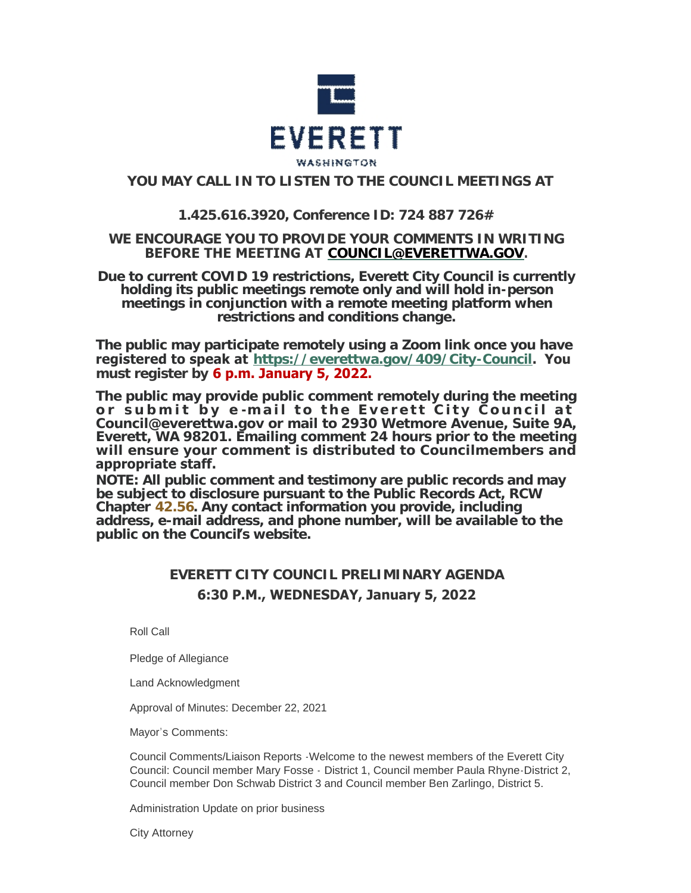

## **YOU MAY CALL IN TO LISTEN TO THE COUNCIL MEETINGS AT**

## **1.425.616.3920, Conference ID: 724 887 726#**

## **WE ENCOURAGE YOU TO PROVIDE YOUR COMMENTS IN WRITING BEFORE THE MEETING AT [COUNCIL@EVERETTWA.GOV](mailto:COUNCIL@EVERETTWA.GOV).**

**Due to current COVID 19 restrictions, Everett City Council is currently holding its public meetings remote only and will hold in-person meetings in conjunction with a remote meeting platform when restrictions and conditions change.**

**The public may participate remotely using a Zoom link once you have registered to speak at <https://everettwa.gov/409/City-Council>. You must register by 6 p.m. January 5, 2022.** 

**The public may provide public comment remotely during the meeting or submit by e -mail to the Everett City Council at Council@everettwa.gov or mail to 2930 Wetmore Avenue, Suite 9A, Everett, WA 98201. Emailing comment 24 hours prior to the meeting will ensure your comment is distributed to Councilmembers and appropriate staff.** 

*NOTE: All public comment and testimony are public records and may be subject to disclosure pursuant to the Public Records Act, RCW Chapter [42.56](https://apps.leg.wa.gov/rcw/default.aspx?cite=42.56). Any contact information you provide, including address, e-mail address, and phone number, will be available to the public on the Council***'***s website.*

# **EVERETT CITY COUNCIL PRELIMINARY AGENDA 6:30 P.M., WEDNESDAY, January 5, 2022**

Roll Call

Pledge of Allegiance

Land Acknowledgment

Approval of Minutes: December 22, 2021

Mayor's Comments:

Council Comments/Liaison Reports -Welcome to the newest members of the Everett City Council: Council member Mary Fosse - District 1, Council member Paula Rhyne-District 2, Council member Don Schwab District 3 and Council member Ben Zarlingo, District 5.

Administration Update on prior business

City Attorney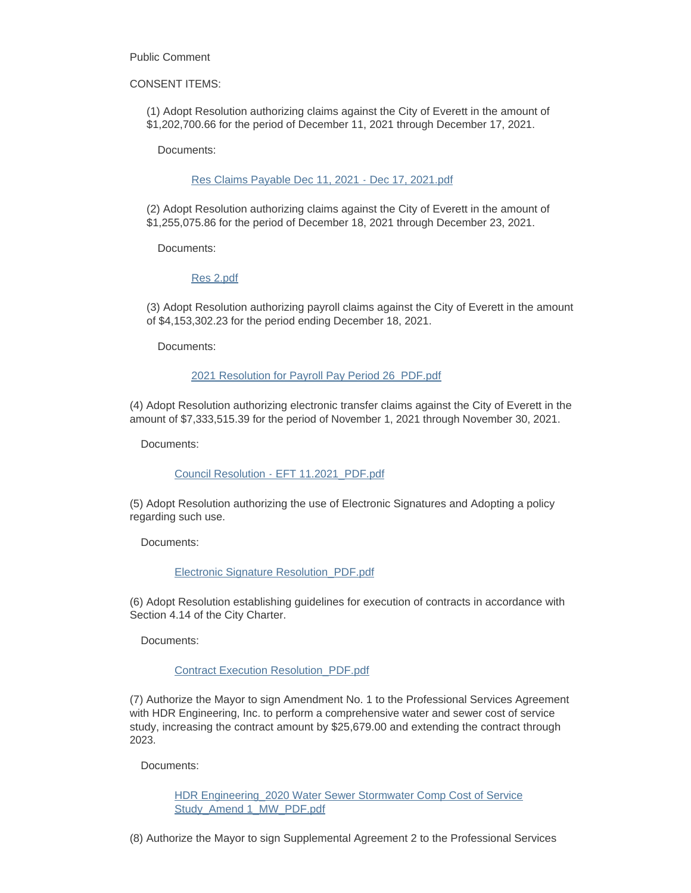Public Comment

CONSENT ITEMS:

(1) Adopt Resolution authorizing claims against the City of Everett in the amount of \$1,202,700.66 for the period of December 11, 2021 through December 17, 2021.

Documents:

#### [Res Claims Payable Dec 11, 2021 - Dec 17, 2021.pdf](https://www.everettwa.gov/AgendaCenter/ViewFile/Item/13229?fileID=79514)

(2) Adopt Resolution authorizing claims against the City of Everett in the amount of \$1,255,075.86 for the period of December 18, 2021 through December 23, 2021.

Documents:

#### [Res 2.pdf](https://www.everettwa.gov/AgendaCenter/ViewFile/Item/13230?fileID=79515)

(3) Adopt Resolution authorizing payroll claims against the City of Everett in the amount of \$4,153,302.23 for the period ending December 18, 2021.

Documents:

#### [2021 Resolution for Payroll Pay Period 26\\_PDF.pdf](https://www.everettwa.gov/AgendaCenter/ViewFile/Item/13231?fileID=79516)

(4) Adopt Resolution authorizing electronic transfer claims against the City of Everett in the amount of \$7,333,515.39 for the period of November 1, 2021 through November 30, 2021.

Documents:

#### [Council Resolution - EFT 11.2021\\_PDF.pdf](https://www.everettwa.gov/AgendaCenter/ViewFile/Item/13232?fileID=79517)

(5) Adopt Resolution authorizing the use of Electronic Signatures and Adopting a policy regarding such use.

Documents:

#### [Electronic Signature Resolution\\_PDF.pdf](https://www.everettwa.gov/AgendaCenter/ViewFile/Item/13233?fileID=79518)

(6) Adopt Resolution establishing guidelines for execution of contracts in accordance with Section 4.14 of the City Charter.

Documents:

#### [Contract Execution Resolution\\_PDF.pdf](https://www.everettwa.gov/AgendaCenter/ViewFile/Item/13234?fileID=79519)

(7) Authorize the Mayor to sign Amendment No. 1 to the Professional Services Agreement with HDR Engineering, Inc. to perform a comprehensive water and sewer cost of service study, increasing the contract amount by \$25,679.00 and extending the contract through 2023.

Documents:

[HDR Engineering\\_2020 Water Sewer Stormwater Comp Cost of Service](https://www.everettwa.gov/AgendaCenter/ViewFile/Item/13235?fileID=79520)  Study\_Amend 1\_MW\_PDF.pdf

(8) Authorize the Mayor to sign Supplemental Agreement 2 to the Professional Services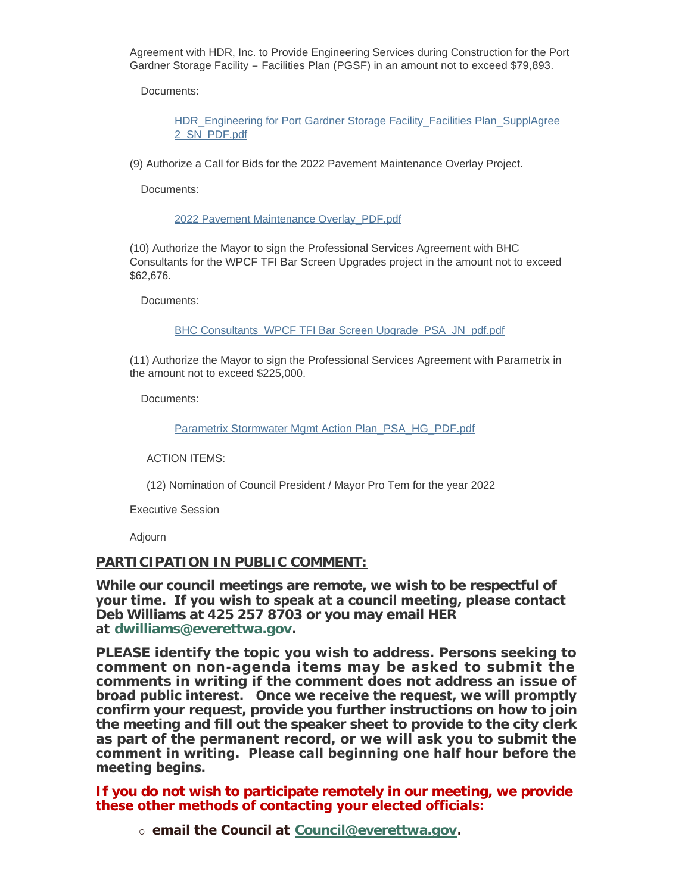Agreement with HDR, Inc. to Provide Engineering Services during Construction for the Port Gardner Storage Facility – Facilities Plan (PGSF) in an amount not to exceed \$79,893.

Documents:

HDR Engineering for Port Gardner Storage Facility Facilities Plan SupplAgree 2\_SN\_PDF.pdf

(9) Authorize a Call for Bids for the 2022 Pavement Maintenance Overlay Project.

Documents:

[2022 Pavement Maintenance Overlay\\_PDF.pdf](https://www.everettwa.gov/AgendaCenter/ViewFile/Item/13237?fileID=79522)

(10) Authorize the Mayor to sign the Professional Services Agreement with BHC Consultants for the WPCF TFI Bar Screen Upgrades project in the amount not to exceed \$62,676.

Documents:

[BHC Consultants\\_WPCF TFI Bar Screen Upgrade\\_PSA\\_JN\\_pdf.pdf](https://www.everettwa.gov/AgendaCenter/ViewFile/Item/13238?fileID=79523)

(11) Authorize the Mayor to sign the Professional Services Agreement with Parametrix in the amount not to exceed \$225,000.

Documents:

[Parametrix Stormwater Mgmt Action Plan\\_PSA\\_HG\\_PDF.pdf](https://www.everettwa.gov/AgendaCenter/ViewFile/Item/13239?fileID=79524)

ACTION ITEMS:

(12) Nomination of Council President / Mayor Pro Tem for the year 2022

Executive Session

Adjourn

## **PARTICIPATION IN PUBLIC COMMENT:**

**While our council meetings are remote, we wish to be respectful of your time. If you wish to speak at a council meeting, please contact Deb Williams at 425 257 8703 or you may email HER at [dwilliams@everettwa.gov](mailto:dwilliams@everettwa.gov).** 

**PLEASE identify the topic you wish to address. Persons seeking to comment on non-agenda items may be asked to submit the comments in writing if the comment does not address an issue of broad public interest. Once we receive the request, we will promptly confirm your request, provide you further instructions on how to join the meeting and fill out the speaker sheet to provide to the city clerk as part of the permanent record, or we will ask you to submit the comment in writing. Please call beginning one half hour before the meeting begins.** 

**If you do not wish to participate remotely in our meeting, we provide these other methods of contacting your elected officials:** 

¡ **email the Council at [Council@everettwa.gov](mailto:Council@everettwa.gov).**